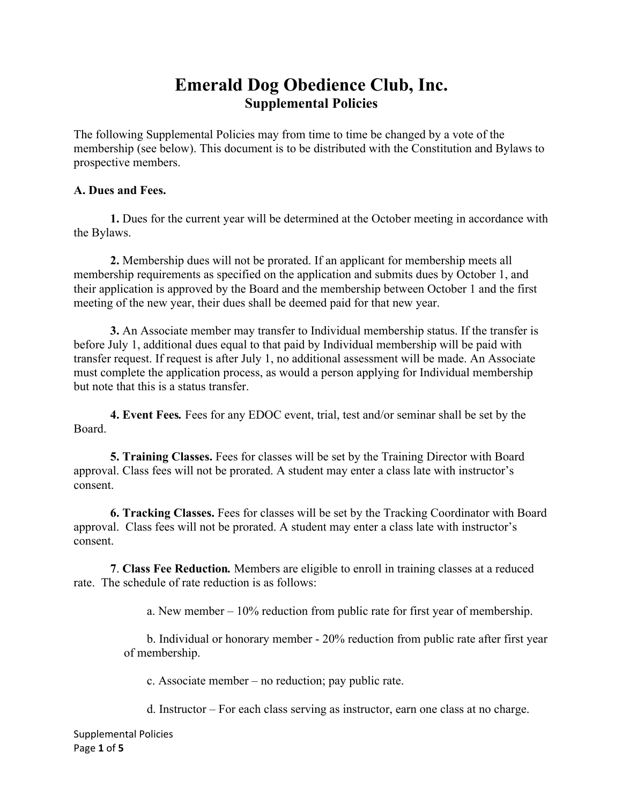# **Emerald Dog Obedience Club, Inc. Supplemental Policies**

The following Supplemental Policies may from time to time be changed by a vote of the membership (see below). This document is to be distributed with the Constitution and Bylaws to prospective members.

### **A. Dues and Fees.**

**1.** Dues for the current year will be determined at the October meeting in accordance with the Bylaws.

**2.** Membership dues will not be prorated. If an applicant for membership meets all membership requirements as specified on the application and submits dues by October 1, and their application is approved by the Board and the membership between October 1 and the first meeting of the new year, their dues shall be deemed paid for that new year.

**3.** An Associate member may transfer to Individual membership status. If the transfer is before July 1, additional dues equal to that paid by Individual membership will be paid with transfer request. If request is after July 1, no additional assessment will be made. An Associate must complete the application process, as would a person applying for Individual membership but note that this is a status transfer.

**4. Event Fees***.* Fees for any EDOC event, trial, test and/or seminar shall be set by the Board.

**5. Training Classes.** Fees for classes will be set by the Training Director with Board approval. Class fees will not be prorated. A student may enter a class late with instructor's consent.

**6. Tracking Classes.** Fees for classes will be set by the Tracking Coordinator with Board approval. Class fees will not be prorated. A student may enter a class late with instructor's consent.

**7**. **Class Fee Reduction***.* Members are eligible to enroll in training classes at a reduced rate. The schedule of rate reduction is as follows:

a. New member  $-10\%$  reduction from public rate for first year of membership.

b. Individual or honorary member - 20% reduction from public rate after first year of membership.

c. Associate member – no reduction; pay public rate.

d. Instructor – For each class serving as instructor, earn one class at no charge.

Supplemental Policies Page **1** of **5**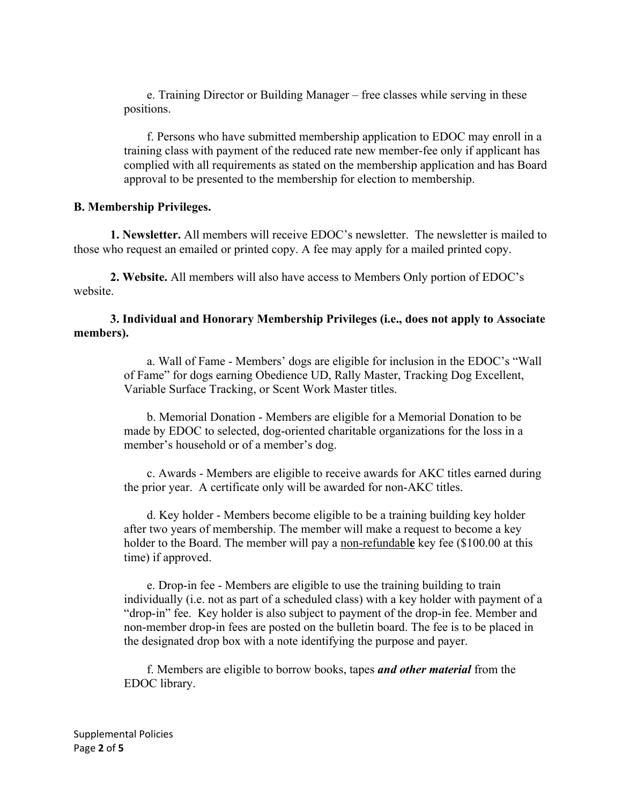e. Training Director or Building Manager – free classes while serving in these positions.

f. Persons who have submitted membership application to EDOC may enroll in a training class with payment of the reduced rate new member-fee only if applicant has complied with all requirements as stated on the membership application and has Board approval to be presented to the membership for election to membership.

#### **B. Membership Privileges.**

**1. Newsletter.** All members will receive EDOC's newsletter. The newsletter is mailed to those who request an emailed or printed copy. A fee may apply for a mailed printed copy.

**2. Website.** All members will also have access to Members Only portion of EDOC's website.

#### **3. Individual and Honorary Membership Privileges (i.e., does not apply to Associate members).**

a. Wall of Fame - Members' dogs are eligible for inclusion in the EDOC's "Wall of Fame" for dogs earning Obedience UD, Rally Master, Tracking Dog Excellent, Variable Surface Tracking, or Scent Work Master titles.

b. Memorial Donation - Members are eligible for a Memorial Donation to be made by EDOC to selected, dog-oriented charitable organizations for the loss in a member's household or of a member's dog.

c. Awards - Members are eligible to receive awards for AKC titles earned during the prior year. A certificate only will be awarded for non-AKC titles.

d. Key holder - Members become eligible to be a training building key holder after two years of membership. The member will make a request to become a key holder to the Board. The member will pay a non-refundabl**e** key fee (\$100.00 at this time) if approved.

e. Drop-in fee - Members are eligible to use the training building to train individually (i.e. not as part of a scheduled class) with a key holder with payment of a "drop-in" fee. Key holder is also subject to payment of the drop-in fee. Member and non-member drop-in fees are posted on the bulletin board. The fee is to be placed in the designated drop box with a note identifying the purpose and payer.

f. Members are eligible to borrow books, tapes *and other material* from the EDOC library.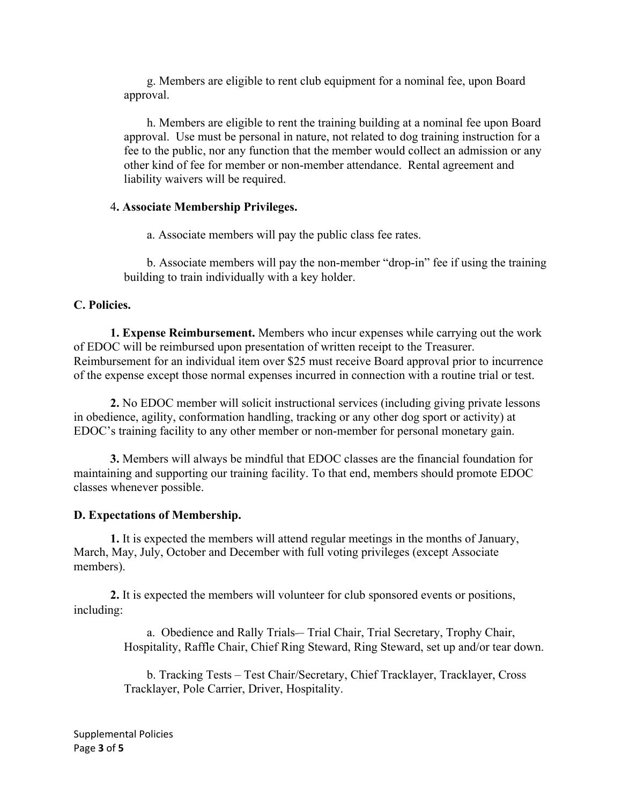g. Members are eligible to rent club equipment for a nominal fee, upon Board approval.

h. Members are eligible to rent the training building at a nominal fee upon Board approval. Use must be personal in nature, not related to dog training instruction for a fee to the public, nor any function that the member would collect an admission or any other kind of fee for member or non-member attendance. Rental agreement and liability waivers will be required.

## 4**. Associate Membership Privileges.**

a. Associate members will pay the public class fee rates.

b. Associate members will pay the non-member "drop-in" fee if using the training building to train individually with a key holder.

## **C. Policies.**

**1. Expense Reimbursement.** Members who incur expenses while carrying out the work of EDOC will be reimbursed upon presentation of written receipt to the Treasurer. Reimbursement for an individual item over \$25 must receive Board approval prior to incurrence of the expense except those normal expenses incurred in connection with a routine trial or test.

**2.** No EDOC member will solicit instructional services (including giving private lessons in obedience, agility, conformation handling, tracking or any other dog sport or activity) at EDOC's training facility to any other member or non-member for personal monetary gain.

**3.** Members will always be mindful that EDOC classes are the financial foundation for maintaining and supporting our training facility. To that end, members should promote EDOC classes whenever possible.

## **D. Expectations of Membership.**

**1.** It is expected the members will attend regular meetings in the months of January, March, May, July, October and December with full voting privileges (except Associate members).

**2.** It is expected the members will volunteer for club sponsored events or positions, including:

> a. Obedience and Rally Trials-- Trial Chair, Trial Secretary, Trophy Chair, Hospitality, Raffle Chair, Chief Ring Steward, Ring Steward, set up and/or tear down.

b. Tracking Tests – Test Chair/Secretary, Chief Tracklayer, Tracklayer, Cross Tracklayer, Pole Carrier, Driver, Hospitality.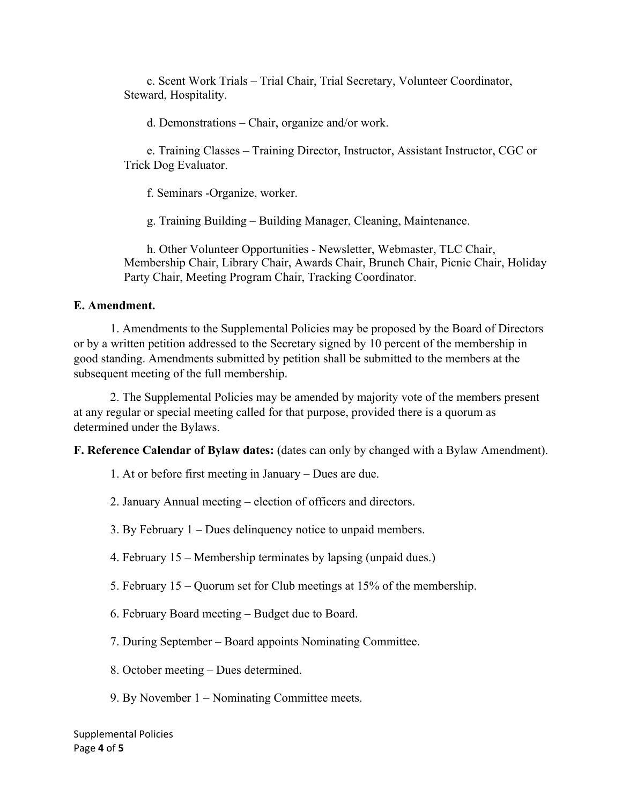c. Scent Work Trials – Trial Chair, Trial Secretary, Volunteer Coordinator, Steward, Hospitality.

d. Demonstrations – Chair, organize and/or work.

e. Training Classes – Training Director, Instructor, Assistant Instructor, CGC or Trick Dog Evaluator.

f. Seminars -Organize, worker.

g. Training Building – Building Manager, Cleaning, Maintenance.

h. Other Volunteer Opportunities - Newsletter, Webmaster, TLC Chair, Membership Chair, Library Chair, Awards Chair, Brunch Chair, Picnic Chair, Holiday Party Chair, Meeting Program Chair, Tracking Coordinator.

#### **E. Amendment.**

1. Amendments to the Supplemental Policies may be proposed by the Board of Directors or by a written petition addressed to the Secretary signed by 10 percent of the membership in good standing. Amendments submitted by petition shall be submitted to the members at the subsequent meeting of the full membership.

2. The Supplemental Policies may be amended by majority vote of the members present at any regular or special meeting called for that purpose, provided there is a quorum as determined under the Bylaws.

**F. Reference Calendar of Bylaw dates:** (dates can only by changed with a Bylaw Amendment).

1. At or before first meeting in January – Dues are due.

2. January Annual meeting – election of officers and directors.

3. By February 1 – Dues delinquency notice to unpaid members.

4. February 15 – Membership terminates by lapsing (unpaid dues.)

5. February 15 – Quorum set for Club meetings at 15% of the membership.

6. February Board meeting – Budget due to Board.

7. During September – Board appoints Nominating Committee.

8. October meeting – Dues determined.

9. By November 1 – Nominating Committee meets.

Supplemental Policies Page **4** of **5**